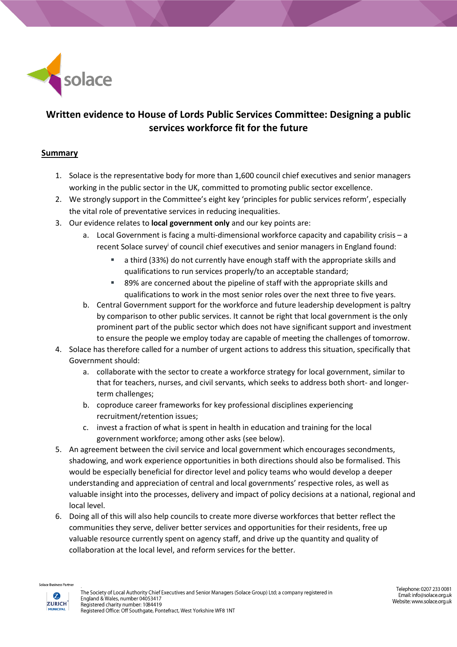

# **Written evidence to House of Lords Public Services Committee: Designing a public services workforce fit for the future**

### **Summary**

- 1. Solace is the representative body for more than 1,600 council chief executives and senior managers working in the public sector in the UK, committed to promoting public sector excellence.
- 2. We strongly support in the Committee's eight key 'principles for public services reform', especially the vital role of preventative services in reducing inequalities.
- 3. Our evidence relates to **local government only** and our key points are:
	- a. Local Government is facing a multi-dimensional workforce capacity and capability crisis a recent Solace survey<sup>i</sup> of council chief executives and senior managers in England found:
		- a third (33%) do not currently have enough staff with the appropriate skills and qualifications to run services properly/to an acceptable standard;
		- 89% are concerned about the pipeline of staff with the appropriate skills and qualifications to work in the most senior roles over the next three to five years.
	- b. Central Government support for the workforce and future leadership development is paltry by comparison to other public services. It cannot be right that local government is the only prominent part of the public sector which does not have significant support and investment to ensure the people we employ today are capable of meeting the challenges of tomorrow.
- 4. Solace has therefore called for a number of urgent actions to address this situation, specifically that Government should:
	- a. collaborate with the sector to create a workforce strategy for local government, similar to that for teachers, nurses, and civil servants, which seeks to address both short- and longerterm challenges;
	- b. coproduce career frameworks for key professional disciplines experiencing recruitment/retention issues;
	- c. invest a fraction of what is spent in health in education and training for the local government workforce; among other asks (see below).
- 5. An agreement between the civil service and local government which encourages secondments, shadowing, and work experience opportunities in both directions should also be formalised. This would be especially beneficial for director level and policy teams who would develop a deeper understanding and appreciation of central and local governments' respective roles, as well as valuable insight into the processes, delivery and impact of policy decisions at a national, regional and local level.
- 6. Doing all of this will also help councils to create more diverse workforces that better reflect the communities they serve, deliver better services and opportunities for their residents, free up valuable resource currently spent on agency staff, and drive up the quantity and quality of collaboration at the local level, and reform services for the better.

**ace Business Partne**  $\boldsymbol{z}$ 

**ZURICH** 

**MUNICIPAL**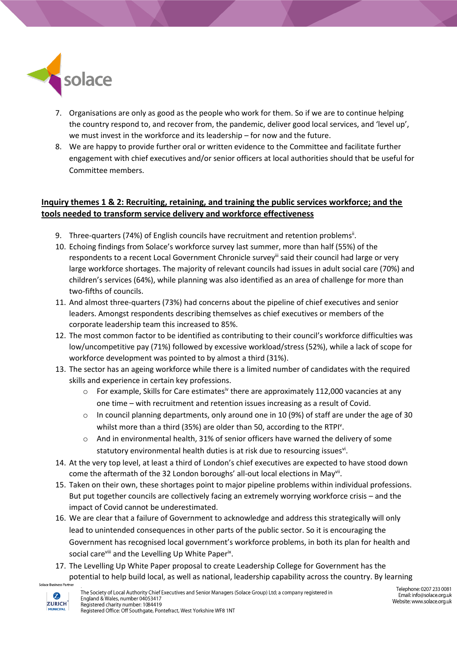

- 7. Organisations are only as good as the people who work for them. So if we are to continue helping the country respond to, and recover from, the pandemic, deliver good local services, and 'level up', we must invest in the workforce and its leadership – for now and the future.
- 8. We are happy to provide further oral or written evidence to the Committee and facilitate further engagement with chief executives and/or senior officers at local authorities should that be useful for Committee members.

### **Inquiry themes 1 & 2: Recruiting, retaining, and training the public services workforce; and the tools needed to transform service delivery and workforce effectiveness**

- 9. Three-quarters (74%) of English councils have recruitment and retention problems<sup>ii</sup>.
- 10. Echoing findings from Solace's workforce survey last summer, more than half (55%) of the respondents to a recent Local Government Chronicle survey<sup>iii</sup> said their council had large or very large workforce shortages. The majority of relevant councils had issues in adult social care (70%) and children's services (64%), while planning was also identified as an area of challenge for more than two-fifths of councils.
- 11. And almost three-quarters (73%) had concerns about the pipeline of chief executives and senior leaders. Amongst respondents describing themselves as chief executives or members of the corporate leadership team this increased to 85%.
- 12. The most common factor to be identified as contributing to their council's workforce difficulties was low/uncompetitive pay (71%) followed by excessive workload/stress (52%), while a lack of scope for workforce development was pointed to by almost a third (31%).
- 13. The sector has an ageing workforce while there is a limited number of candidates with the required skills and experience in certain key professions.
	- $\circ$  For example, Skills for Care estimates<sup>iv</sup> there are approximately 112,000 vacancies at any one time – with recruitment and retention issues increasing as a result of Covid.
	- $\circ$  In council planning departments, only around one in 10 (9%) of staff are under the age of 30 whilst more than a third (35%) are older than 50, according to the RTPI<sup>v</sup>.
	- o And in environmental health, 31% of senior officers have warned the delivery of some statutory environmental health duties is at risk due to resourcing issues<sup>vi</sup>.
- 14. At the very top level, at least a third of London's chief executives are expected to have stood down come the aftermath of the 32 London boroughs' all-out local elections in May<sup>vii</sup>.
- 15. Taken on their own, these shortages point to major pipeline problems within individual professions. But put together councils are collectively facing an extremely worrying workforce crisis – and the impact of Covid cannot be underestimated.
- 16. We are clear that a failure of Government to acknowledge and address this strategically will only lead to unintended consequences in other parts of the public sector. So it is encouraging the Government has recognised local government's workforce problems, in both its plan for health and social care<sup>viii</sup> and the Levelling Up White Paper<sup>ix</sup>.
- 17. The Levelling Up White Paper proposal to create Leadership College for Government has the potential to help build local, as well as national, leadership capability across the country. By learning ace Busines

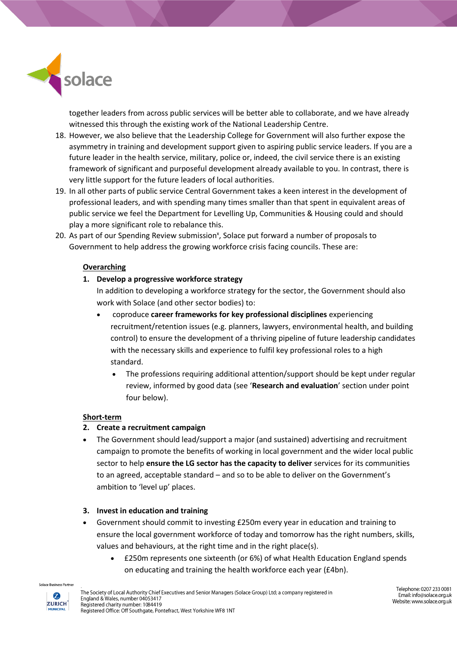

together leaders from across public services will be better able to collaborate, and we have already witnessed this through the existing work of the National Leadership Centre.

- 18. However, we also believe that the Leadership College for Government will also further expose the asymmetry in training and development support given to aspiring public service leaders. If you are a future leader in the health service, military, police or, indeed, the civil service there is an existing framework of significant and purposeful development already available to you. In contrast, there is very little support for the future leaders of local authorities.
- 19. In all other parts of public service Central Government takes a keen interest in the development of professional leaders, and with spending many times smaller than that spent in equivalent areas of public service we feel the Department for Levelling Up, Communities & Housing could and should play a more significant role to rebalance this.
- 20. As part of our Spending Review submission<sup>x</sup>, Solace put forward a number of proposals to Government to help address the growing workforce crisis facing councils. These are:

#### **Overarching**

**1. Develop a progressive workforce strategy** 

In addition to developing a workforce strategy for the sector, the Government should also work with Solace (and other sector bodies) to:

- coproduce **career frameworks for key professional disciplines** experiencing recruitment/retention issues (e.g. planners, lawyers, environmental health, and building control) to ensure the development of a thriving pipeline of future leadership candidates with the necessary skills and experience to fulfil key professional roles to a high standard.
	- The professions requiring additional attention/support should be kept under regular review, informed by good data (see '**Research and evaluation**' section under point four below).

#### **Short-term**

#### **2. Create a recruitment campaign**

• The Government should lead/support a major (and sustained) advertising and recruitment campaign to promote the benefits of working in local government and the wider local public sector to help **ensure the LG sector has the capacity to deliver** services for its communities to an agreed, acceptable standard – and so to be able to deliver on the Government's ambition to 'level up' places.

#### **3. Invest in education and training**

- Government should commit to investing £250m every year in education and training to ensure the local government workforce of today and tomorrow has the right numbers, skills, values and behaviours, at the right time and in the right place(s).
	- £250m represents one sixteenth (or 6%) of what Health Education England spends on educating and training the health workforce each year (£4bn).

**ace Business Partn**  $\boldsymbol{z}$ 

**ZURICH** 

**MUNICIPAL**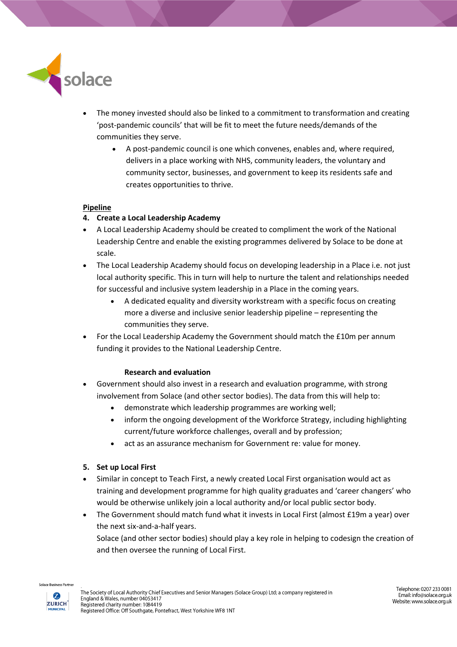

- The money invested should also be linked to a commitment to transformation and creating 'post-pandemic councils' that will be fit to meet the future needs/demands of the communities they serve.
	- A post-pandemic council is one which convenes, enables and, where required, delivers in a place working with NHS, community leaders, the voluntary and community sector, businesses, and government to keep its residents safe and creates opportunities to thrive.

#### **Pipeline**

#### **4. Create a Local Leadership Academy**

- A Local Leadership Academy should be created to compliment the work of the National Leadership Centre and enable the existing programmes delivered by Solace to be done at scale.
- The Local Leadership Academy should focus on developing leadership in a Place i.e. not just local authority specific. This in turn will help to nurture the talent and relationships needed for successful and inclusive system leadership in a Place in the coming years.
	- A dedicated equality and diversity workstream with a specific focus on creating more a diverse and inclusive senior leadership pipeline – representing the communities they serve.
- For the Local Leadership Academy the Government should match the £10m per annum funding it provides to the National Leadership Centre.

#### **Research and evaluation**

- Government should also invest in a research and evaluation programme, with strong involvement from Solace (and other sector bodies). The data from this will help to:
	- demonstrate which leadership programmes are working well;
	- inform the ongoing development of the Workforce Strategy, including highlighting current/future workforce challenges, overall and by profession;
	- act as an assurance mechanism for Government re: value for money.

#### **5. Set up Local First**

- Similar in concept to Teach First, a newly created Local First organisation would act as training and development programme for high quality graduates and 'career changers' who would be otherwise unlikely join a local authority and/or local public sector body.
- The Government should match fund what it invests in Local First (almost £19m a year) over the next six-and-a-half years. Solace (and other sector bodies) should play a key role in helping to codesign the creation of

and then oversee the running of Local First.

اد Business Partn  $\boldsymbol{z}$ 

> **ZURICH MUNICIPAL**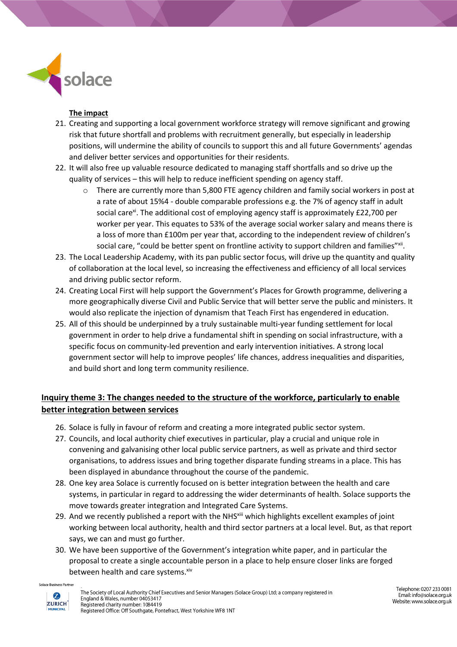

### **The impact**

- 21. Creating and supporting a local government workforce strategy will remove significant and growing risk that future shortfall and problems with recruitment generally, but especially in leadership positions, will undermine the ability of councils to support this and all future Governments' agendas and deliver better services and opportunities for their residents.
- 22. It will also free up valuable resource dedicated to managing staff shortfalls and so drive up the quality of services – this will help to reduce inefficient spending on agency staff.
	- $\circ$  There are currently more than 5,800 FTE agency children and family social workers in post at a rate of about 15%4 - double comparable professions e.g. the 7% of agency staff in adult social care<sup>xi</sup>. The additional cost of employing agency staff is approximately £22,700 per worker per year. This equates to 53% of the average social worker salary and means there is a loss of more than £100m per year that, according to the independent review of children's social care, "could be better spent on frontline activity to support children and families"<sup>xii</sup>.
- 23. The Local Leadership Academy, with its pan public sector focus, will drive up the quantity and quality of collaboration at the local level, so increasing the effectiveness and efficiency of all local services and driving public sector reform.
- 24. Creating Local First will help support the Government's Places for Growth programme, delivering a more geographically diverse Civil and Public Service that will better serve the public and ministers. It would also replicate the injection of dynamism that Teach First has engendered in education.
- 25. All of this should be underpinned by a truly sustainable multi-year funding settlement for local government in order to help drive a fundamental shift in spending on social infrastructure, with a specific focus on community-led prevention and early intervention initiatives. A strong local government sector will help to improve peoples' life chances, address inequalities and disparities, and build short and long term community resilience.

## **Inquiry theme 3: The changes needed to the structure of the workforce, particularly to enable better integration between services**

- 26. Solace is fully in favour of reform and creating a more integrated public sector system.
- 27. Councils, and local authority chief executives in particular, play a crucial and unique role in convening and galvanising other local public service partners, as well as private and third sector organisations, to address issues and bring together disparate funding streams in a place. This has been displayed in abundance throughout the course of the pandemic.
- 28. One key area Solace is currently focused on is better integration between the health and care systems, in particular in regard to addressing the wider determinants of health. Solace supports the move towards greater integration and Integrated Care Systems.
- 29. And we recently published a report with the NHS<sup>xiii</sup> which highlights excellent examples of joint working between local authority, health and third sector partners at a local level. But, as that report says, we can and must go further.
- 30. We have been supportive of the Government's integration white paper, and in particular the proposal to create a single accountable person in a place to help ensure closer links are forged between health and care systems. xiv

ce Business Partne  $\boldsymbol{z}$ **ZURICH** 

**MUNICIPAL** 

Telephone: 0207 233 0081 Email: info@solace.org.uk Website: www.solace.org.uk